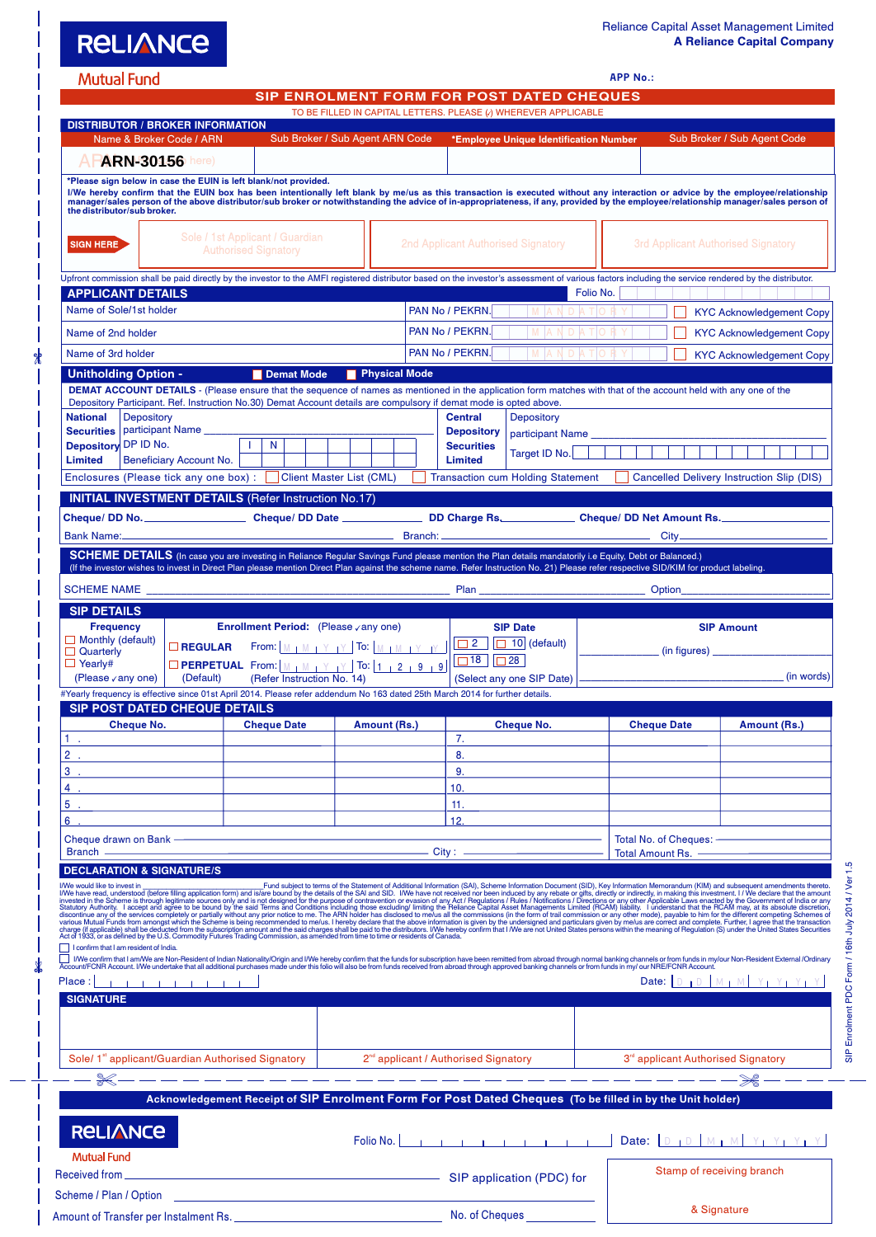**APP No.:**

|  |  |  | Mutual Fund |
|--|--|--|-------------|
|  |  |  |             |

**RELIANCE** 

Scheme / Plan / Option

Amount of Transfer per Instalment Rs. No. of Cheques

**SIP ENROLMENT FORM FOR POST DATED CHEQUES**

| <b>DISTRIBUTOR / BROKER INFORMATION</b>                                                                                                                                                                                                    |                                                 |                                                                                                                                                                                                                                                                                               |                                                         |                                                  |                                          |           |                     |                                                                                                                                                                                                                                                                                                                                                                                                                                                                                                 |
|--------------------------------------------------------------------------------------------------------------------------------------------------------------------------------------------------------------------------------------------|-------------------------------------------------|-----------------------------------------------------------------------------------------------------------------------------------------------------------------------------------------------------------------------------------------------------------------------------------------------|---------------------------------------------------------|--------------------------------------------------|------------------------------------------|-----------|---------------------|-------------------------------------------------------------------------------------------------------------------------------------------------------------------------------------------------------------------------------------------------------------------------------------------------------------------------------------------------------------------------------------------------------------------------------------------------------------------------------------------------|
| Name & Broker Code / ARN                                                                                                                                                                                                                   |                                                 |                                                                                                                                                                                                                                                                                               | Sub Broker / Sub Agent ARN Code                         |                                                  | *Employee Unique Identification Number   |           |                     | Sub Broker / Sub Agent Code                                                                                                                                                                                                                                                                                                                                                                                                                                                                     |
| <b>APARN-30156</b> here)                                                                                                                                                                                                                   |                                                 |                                                                                                                                                                                                                                                                                               |                                                         |                                                  |                                          |           |                     |                                                                                                                                                                                                                                                                                                                                                                                                                                                                                                 |
|                                                                                                                                                                                                                                            |                                                 | *Please sign below in case the EUIN is left blank/not provided.                                                                                                                                                                                                                               |                                                         |                                                  |                                          |           |                     |                                                                                                                                                                                                                                                                                                                                                                                                                                                                                                 |
| the distributor/sub broker.                                                                                                                                                                                                                |                                                 |                                                                                                                                                                                                                                                                                               |                                                         |                                                  |                                          |           |                     | I/We hereby confirm that the EUIN box has been intentionally left blank by me/us as this transaction is executed without any interaction or advice by the employee/relationship<br>manager/sales person of the above distributor/                                                                                                                                                                                                                                                               |
|                                                                                                                                                                                                                                            |                                                 | Sole / 1st Applicant / Guardian                                                                                                                                                                                                                                                               |                                                         |                                                  |                                          |           |                     |                                                                                                                                                                                                                                                                                                                                                                                                                                                                                                 |
| <b>SIGN HERE</b>                                                                                                                                                                                                                           |                                                 | <b>Authorised Signatory</b>                                                                                                                                                                                                                                                                   |                                                         |                                                  | 2nd Applicant Authorised Signatory       |           |                     | 3rd Applicant Authorised Signatory                                                                                                                                                                                                                                                                                                                                                                                                                                                              |
|                                                                                                                                                                                                                                            |                                                 |                                                                                                                                                                                                                                                                                               |                                                         |                                                  |                                          |           |                     |                                                                                                                                                                                                                                                                                                                                                                                                                                                                                                 |
| Upfront commission shall be paid directly by the investor to the AMFI registered distributor based on the investor's assessment of various factors including the service rendered by the distributor.                                      |                                                 |                                                                                                                                                                                                                                                                                               |                                                         |                                                  |                                          |           |                     |                                                                                                                                                                                                                                                                                                                                                                                                                                                                                                 |
| <b>APPLICANT DETAILS</b><br>Name of Sole/1st holder                                                                                                                                                                                        |                                                 |                                                                                                                                                                                                                                                                                               |                                                         | PAN No / PEKRN.                                  |                                          | Folio No. |                     |                                                                                                                                                                                                                                                                                                                                                                                                                                                                                                 |
|                                                                                                                                                                                                                                            |                                                 |                                                                                                                                                                                                                                                                                               |                                                         |                                                  | M A N D A T O R                          |           |                     | <b>KYC Acknowledgement Copy</b>                                                                                                                                                                                                                                                                                                                                                                                                                                                                 |
| Name of 2nd holder                                                                                                                                                                                                                         |                                                 |                                                                                                                                                                                                                                                                                               |                                                         | PAN No / PEKRN.                                  | M   A N D   A T   O R                    |           |                     | <b>KYC Acknowledgement Copy</b>                                                                                                                                                                                                                                                                                                                                                                                                                                                                 |
| Name of 3rd holder                                                                                                                                                                                                                         |                                                 |                                                                                                                                                                                                                                                                                               |                                                         | PAN No / PEKRN.                                  | $ M A N D A T$   O R                     |           |                     | <b>KYC Acknowledgement Copy</b>                                                                                                                                                                                                                                                                                                                                                                                                                                                                 |
| <b>Unitholding Option -</b>                                                                                                                                                                                                                |                                                 | Demat Mode                                                                                                                                                                                                                                                                                    | Physical Mode                                           |                                                  |                                          |           |                     |                                                                                                                                                                                                                                                                                                                                                                                                                                                                                                 |
|                                                                                                                                                                                                                                            |                                                 | <b>DEMAT ACCOUNT DETAILS</b> - (Please ensure that the sequence of names as mentioned in the application form matches with that of the account held with any one of the<br>Depository Participant. Ref. Instruction No.30) Demat Account details are compulsory if demat mode is opted above. |                                                         |                                                  |                                          |           |                     |                                                                                                                                                                                                                                                                                                                                                                                                                                                                                                 |
| <b>Depository</b><br><b>National</b>                                                                                                                                                                                                       |                                                 |                                                                                                                                                                                                                                                                                               |                                                         | <b>Central</b>                                   | Depository                               |           |                     |                                                                                                                                                                                                                                                                                                                                                                                                                                                                                                 |
| <b>Securities</b>                                                                                                                                                                                                                          | participant Name                                |                                                                                                                                                                                                                                                                                               |                                                         | <b>Depository</b>                                | participant Name                         |           |                     |                                                                                                                                                                                                                                                                                                                                                                                                                                                                                                 |
| Depository DP ID No.                                                                                                                                                                                                                       |                                                 | N<br>T.                                                                                                                                                                                                                                                                                       |                                                         | <b>Securities</b>                                | Target ID No.                            |           |                     |                                                                                                                                                                                                                                                                                                                                                                                                                                                                                                 |
| <b>Limited</b>                                                                                                                                                                                                                             | Beneficiary Account No.                         |                                                                                                                                                                                                                                                                                               |                                                         | <b>Limited</b>                                   |                                          |           |                     |                                                                                                                                                                                                                                                                                                                                                                                                                                                                                                 |
| Enclosures (Please tick any one box) :   Client Master List (CML)                                                                                                                                                                          |                                                 |                                                                                                                                                                                                                                                                                               |                                                         |                                                  | <b>Transaction cum Holding Statement</b> |           |                     | Cancelled Delivery Instruction Slip (DIS)                                                                                                                                                                                                                                                                                                                                                                                                                                                       |
|                                                                                                                                                                                                                                            |                                                 | <b>INITIAL INVESTMENT DETAILS (Refer Instruction No.17)</b>                                                                                                                                                                                                                                   |                                                         |                                                  |                                          |           |                     |                                                                                                                                                                                                                                                                                                                                                                                                                                                                                                 |
|                                                                                                                                                                                                                                            |                                                 |                                                                                                                                                                                                                                                                                               |                                                         |                                                  |                                          |           |                     |                                                                                                                                                                                                                                                                                                                                                                                                                                                                                                 |
| <b>Bank Name:</b>                                                                                                                                                                                                                          |                                                 | <u> 1980 - Jan Stein Stein Stein Stein Stein Stein Stein Stein Stein Stein Stein Stein Stein Stein Stein Stein S</u>                                                                                                                                                                          |                                                         |                                                  |                                          |           | $City$ <sub>—</sub> |                                                                                                                                                                                                                                                                                                                                                                                                                                                                                                 |
|                                                                                                                                                                                                                                            |                                                 | SCHEME DETAILS (In case you are investing in Reliance Regular Savings Fund please mention the Plan details mandatorily i.e Equity, Debt or Balanced.)                                                                                                                                         |                                                         |                                                  |                                          |           |                     |                                                                                                                                                                                                                                                                                                                                                                                                                                                                                                 |
|                                                                                                                                                                                                                                            |                                                 | (If the investor wishes to invest in Direct Plan please mention Direct Plan against the scheme name. Refer Instruction No. 21) Please refer respective SID/KIM for product labeling.                                                                                                          |                                                         |                                                  |                                          |           |                     |                                                                                                                                                                                                                                                                                                                                                                                                                                                                                                 |
| SCHEME NAME <b>And Account of the Contract of Contract Contract of Contract Contract On Contract On Contract On Contract On Contract On Contract On Contract On Contract On Contract On Contract On Contract On Contract On Cont</b>       |                                                 |                                                                                                                                                                                                                                                                                               |                                                         |                                                  |                                          |           | Option_____________ |                                                                                                                                                                                                                                                                                                                                                                                                                                                                                                 |
| <b>SIP DETAILS</b>                                                                                                                                                                                                                         |                                                 |                                                                                                                                                                                                                                                                                               |                                                         |                                                  |                                          |           |                     |                                                                                                                                                                                                                                                                                                                                                                                                                                                                                                 |
| <b>Frequency</b>                                                                                                                                                                                                                           |                                                 | <b>Enrollment Period:</b> (Please √any one)                                                                                                                                                                                                                                                   |                                                         |                                                  | <b>SIP Date</b>                          |           |                     | <b>SIP Amount</b>                                                                                                                                                                                                                                                                                                                                                                                                                                                                               |
| $\Box$ Monthly (default)<br>$\Box$ Quarterly                                                                                                                                                                                               | $\Box$ REGULAR                                  |                                                                                                                                                                                                                                                                                               | From: $M \upharpoonright M + Y + Y$ To: $M + M + Y + Y$ | $\Box$ 2                                         | $\Box$ 10 (default)                      |           |                     | (in figures)                                                                                                                                                                                                                                                                                                                                                                                                                                                                                    |
|                                                                                                                                                                                                                                            |                                                 |                                                                                                                                                                                                                                                                                               |                                                         |                                                  |                                          |           |                     |                                                                                                                                                                                                                                                                                                                                                                                                                                                                                                 |
| $\Box$ Yearly#                                                                                                                                                                                                                             |                                                 | <b>DPERPETUAL</b> From: $M + M + Y + Y$ To: $1 + 2 + 9 + 9$                                                                                                                                                                                                                                   |                                                         | $\Box$ 18                                        | $\Box$ 28                                |           |                     |                                                                                                                                                                                                                                                                                                                                                                                                                                                                                                 |
| (Please vany one)                                                                                                                                                                                                                          | (Default)                                       | (Refer Instruction No. 14)                                                                                                                                                                                                                                                                    |                                                         |                                                  | (Select any one SIP Date)                |           |                     | (in words)                                                                                                                                                                                                                                                                                                                                                                                                                                                                                      |
| #Yearly frequency is effective since 01st April 2014. Please refer addendum No 163 dated 25th March 2014 for further details.                                                                                                              |                                                 |                                                                                                                                                                                                                                                                                               |                                                         |                                                  |                                          |           |                     |                                                                                                                                                                                                                                                                                                                                                                                                                                                                                                 |
| <b>SIP POST DATED CHEQUE DETAILS</b><br><b>Cheque No.</b>                                                                                                                                                                                  |                                                 | <b>Cheque Date</b>                                                                                                                                                                                                                                                                            | Amount (Rs.)                                            |                                                  | <b>Cheque No.</b>                        |           | <b>Cheque Date</b>  | Amount (Rs.)                                                                                                                                                                                                                                                                                                                                                                                                                                                                                    |
| 1.                                                                                                                                                                                                                                         |                                                 |                                                                                                                                                                                                                                                                                               |                                                         | 7.                                               |                                          |           |                     |                                                                                                                                                                                                                                                                                                                                                                                                                                                                                                 |
| 2                                                                                                                                                                                                                                          |                                                 |                                                                                                                                                                                                                                                                                               |                                                         | 8.                                               |                                          |           |                     |                                                                                                                                                                                                                                                                                                                                                                                                                                                                                                 |
| з                                                                                                                                                                                                                                          |                                                 |                                                                                                                                                                                                                                                                                               |                                                         | 9.                                               |                                          |           |                     |                                                                                                                                                                                                                                                                                                                                                                                                                                                                                                 |
|                                                                                                                                                                                                                                            |                                                 |                                                                                                                                                                                                                                                                                               |                                                         | 10.                                              |                                          |           |                     |                                                                                                                                                                                                                                                                                                                                                                                                                                                                                                 |
|                                                                                                                                                                                                                                            |                                                 |                                                                                                                                                                                                                                                                                               |                                                         | 11.                                              |                                          |           |                     |                                                                                                                                                                                                                                                                                                                                                                                                                                                                                                 |
|                                                                                                                                                                                                                                            |                                                 |                                                                                                                                                                                                                                                                                               |                                                         | 12.                                              |                                          |           |                     |                                                                                                                                                                                                                                                                                                                                                                                                                                                                                                 |
| Cheque drawn on Bank - Cheque drawn on Bank - Cheque drawn on Bank - Cheque and Cheque and Cheque and Cheque and Cheque and Cheque and Cheque and Cheque and Cheque and Cheque and Cheque and Cheque and Cheque and Cheque and<br>Branch — |                                                 |                                                                                                                                                                                                                                                                                               |                                                         |                                                  |                                          |           |                     |                                                                                                                                                                                                                                                                                                                                                                                                                                                                                                 |
|                                                                                                                                                                                                                                            |                                                 |                                                                                                                                                                                                                                                                                               |                                                         |                                                  |                                          |           |                     | Total Amount Rs.                                                                                                                                                                                                                                                                                                                                                                                                                                                                                |
| <b>DECLARATION &amp; SIGNATURE/S</b>                                                                                                                                                                                                       |                                                 |                                                                                                                                                                                                                                                                                               |                                                         |                                                  |                                          |           |                     |                                                                                                                                                                                                                                                                                                                                                                                                                                                                                                 |
|                                                                                                                                                                                                                                            |                                                 |                                                                                                                                                                                                                                                                                               |                                                         |                                                  |                                          |           |                     |                                                                                                                                                                                                                                                                                                                                                                                                                                                                                                 |
|                                                                                                                                                                                                                                            |                                                 |                                                                                                                                                                                                                                                                                               |                                                         |                                                  |                                          |           |                     |                                                                                                                                                                                                                                                                                                                                                                                                                                                                                                 |
|                                                                                                                                                                                                                                            |                                                 |                                                                                                                                                                                                                                                                                               |                                                         |                                                  |                                          |           |                     |                                                                                                                                                                                                                                                                                                                                                                                                                                                                                                 |
| I confirm that I am resident of India.                                                                                                                                                                                                     |                                                 |                                                                                                                                                                                                                                                                                               |                                                         |                                                  |                                          |           |                     |                                                                                                                                                                                                                                                                                                                                                                                                                                                                                                 |
|                                                                                                                                                                                                                                            |                                                 |                                                                                                                                                                                                                                                                                               |                                                         |                                                  |                                          |           |                     |                                                                                                                                                                                                                                                                                                                                                                                                                                                                                                 |
| Place:                                                                                                                                                                                                                                     | <b>CITY OF A REPORT OF A REPORT OF A REPORT</b> |                                                                                                                                                                                                                                                                                               |                                                         |                                                  |                                          |           |                     | Date: $D_1D_2M_1M_2Y_1Y_1Y_2Y_2$                                                                                                                                                                                                                                                                                                                                                                                                                                                                |
| <b>SIGNATURE</b>                                                                                                                                                                                                                           |                                                 |                                                                                                                                                                                                                                                                                               |                                                         |                                                  |                                          |           |                     |                                                                                                                                                                                                                                                                                                                                                                                                                                                                                                 |
|                                                                                                                                                                                                                                            |                                                 |                                                                                                                                                                                                                                                                                               |                                                         |                                                  |                                          |           |                     |                                                                                                                                                                                                                                                                                                                                                                                                                                                                                                 |
|                                                                                                                                                                                                                                            |                                                 |                                                                                                                                                                                                                                                                                               |                                                         |                                                  |                                          |           |                     |                                                                                                                                                                                                                                                                                                                                                                                                                                                                                                 |
| Sole/ 1 <sup>st</sup> applicant/Guardian Authorised Signatory                                                                                                                                                                              |                                                 |                                                                                                                                                                                                                                                                                               | $\mathbb{R}^n$                                          | 2 <sup>nd</sup> applicant / Authorised Signatory |                                          |           |                     | 3 <sup>rd</sup> applicant Authorised Signatory                                                                                                                                                                                                                                                                                                                                                                                                                                                  |
|                                                                                                                                                                                                                                            |                                                 |                                                                                                                                                                                                                                                                                               |                                                         |                                                  | للتناسب للتناسب للتناس                   |           |                     | – — — <del>Ж</del> –                                                                                                                                                                                                                                                                                                                                                                                                                                                                            |
|                                                                                                                                                                                                                                            |                                                 | Acknowledgement Receipt of SIP Enrolment Form For Post Dated Cheques (To be filled in by the Unit holder)                                                                                                                                                                                     |                                                         |                                                  |                                          |           |                     |                                                                                                                                                                                                                                                                                                                                                                                                                                                                                                 |
|                                                                                                                                                                                                                                            |                                                 |                                                                                                                                                                                                                                                                                               |                                                         |                                                  |                                          |           |                     |                                                                                                                                                                                                                                                                                                                                                                                                                                                                                                 |
| <b>RELIANCE</b>                                                                                                                                                                                                                            |                                                 |                                                                                                                                                                                                                                                                                               |                                                         |                                                  |                                          |           |                     |                                                                                                                                                                                                                                                                                                                                                                                                                                                                                                 |
|                                                                                                                                                                                                                                            |                                                 |                                                                                                                                                                                                                                                                                               |                                                         |                                                  |                                          |           |                     | Date: $D_{1}D_{1}M_{1}M_{2}Y_{1}Y_{1}Y_{1}Y_{2}Y_{2}Y_{3}Y_{4}Y_{5}Y_{6}Y_{7}Y_{8}Y_{9}Y_{10}Y_{11}Y_{12}Y_{13}Y_{14}Y_{15}Y_{16}Y_{17}Y_{18}Y_{19}Y_{10}Y_{11}Y_{11}Y_{12}Y_{13}Y_{14}Y_{15}Y_{16}Y_{17}Y_{18}Y_{19}Y_{10}Y_{11}Y_{11}Y_{12}Y_{13}Y_{14}Y_{15}Y_{16}Y_{17}$                                                                                                                                                                                                                    |
| <b>Mutual Fund</b>                                                                                                                                                                                                                         |                                                 |                                                                                                                                                                                                                                                                                               |                                                         |                                                  | SIP application (PDC) for                |           |                     | IWe would like to invest in<br>INVe would like to invest in Fund subject to terms of the Statement of Additional Information (SAI), Scheme Information Document (SID), Key Information Memorandum (KIM) and subsequent amendments<br>□ IWe confirm that I am/We are Non-Resident of Indian Nationality/Origin and I/We hereby confirm that the funds for subscription have been remitted from abroad through normal banking channels or from funds in my/our Non-R<br>Stamp of receiving branch |

& Signature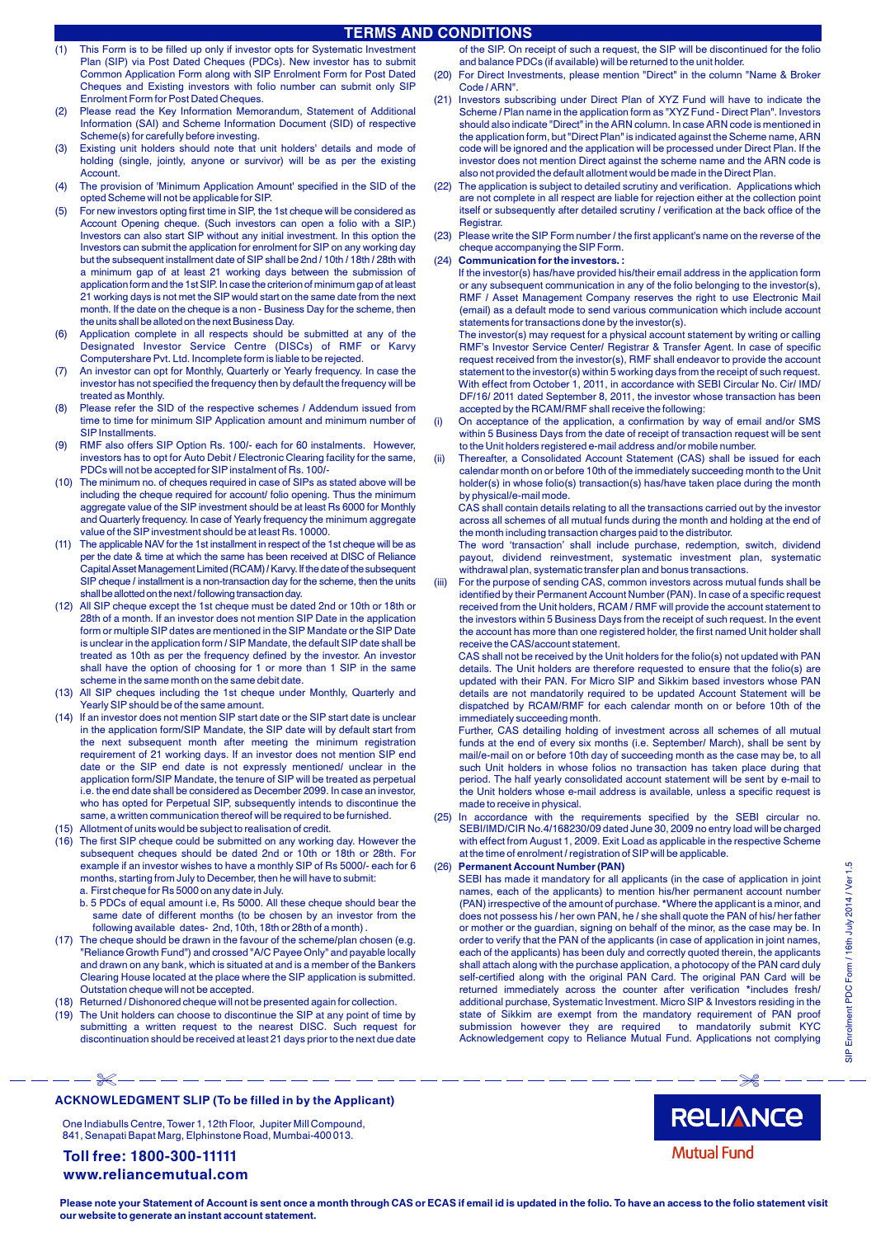# **TERMS AND CONDITIONS**

- (1) This Form is to be filled up only if investor opts for Systematic Investment Plan (SIP) via Post Dated Cheques (PDCs). New investor has to submit Common Application Form along with SIP Enrolment Form for Post Dated Cheques and Existing investors with folio number can submit only SIP Enrolment Form for Post Dated Cheques.
- (2) Please read the Key Information Memorandum, Statement of Additional Information (SAI) and Scheme Information Document (SID) of respective Scheme(s) for carefully before investing.
- (3) Existing unit holders should note that unit holders' details and mode of holding (single, jointly, anyone or survivor) will be as per the existing Account.
- (4) The provision of 'Minimum Application Amount' specified in the SID of the opted Scheme will not be applicable for SIP.
- (5) For new investors opting first time in SIP, the 1st cheque will be considered as Account Opening cheque. (Such investors can open a folio with a SIP.) Investors can also start SIP without any initial investment. In this option the Investors can submit the application for enrolment for SIP on any working day but the subsequent installment date of SIP shall be 2nd / 10th / 18th / 28th with a minimum gap of at least 21 working days between the submission of application form and the 1st SIP. In case the criterion of minimum gap of at least 21 working days is not met the SIP would start on the same date from the next month. If the date on the cheque is a non - Business Day for the scheme, then the units shall be alloted on the next Business Day.
- (6) Application complete in all respects should be submitted at any of the Designated Investor Service Centre (DISCs) of RMF or Karvy Computershare Pvt. Ltd. Incomplete form is liable to be rejected.
- (7) An investor can opt for Monthly, Quarterly or Yearly frequency. In case the investor has not specified the frequency then by default the frequency will be treated as Monthly.
- (8) Please refer the SID of the respective schemes / Addendum issued from time to time for minimum SIP Application amount and minimum number of SIP Installments.
- (9) RMF also offers SIP Option Rs. 100/- each for 60 instalments. However, investors has to opt for Auto Debit / Electronic Clearing facility for the same, PDCs will not be accepted for SIP instalment of Rs. 100/-
- (10) The minimum no. of cheques required in case of SIPs as stated above will be including the cheque required for account/ folio opening. Thus the minimum aggregate value of the SIP investment should be at least Rs 6000 for Monthly and Quarterly frequency. In case of Yearly frequency the minimum aggregate value of the SIP investment should be at least Rs. 10000.
- (11) The applicable NAV for the 1st installment in respect of the 1st cheque will be as per the date & time at which the same has been received at DISC of Reliance Capital Asset Management Limited (RCAM) / Karvy. If the date of the subsequent SIP cheque / installment is a non-transaction day for the scheme, then the units shall be allotted on the next / following transaction day.
- (12) All SIP cheque except the 1st cheque must be dated 2nd or 10th or 18th or 28th of a month. If an investor does not mention SIP Date in the application form or multiple SIP dates are mentioned in the SIP Mandate or the SIP Date is unclear in the application form / SIP Mandate, the default SIP date shall be treated as 10th as per the frequency defined by the investor. An investor shall have the option of choosing for 1 or more than 1 SIP in the same scheme in the same month on the same debit date.
- (13) All SIP cheques including the 1st cheque under Monthly, Quarterly and Yearly SIP should be of the same amount.
- (14) If an investor does not mention SIP start date or the SIP start date is unclear in the application form/SIP Mandate, the SIP date will by default start from the next subsequent month after meeting the minimum registration requirement of 21 working days. If an investor does not mention SIP end date or the SIP end date is not expressly mentioned/ unclear in the application form/SIP Mandate, the tenure of SIP will be treated as perpetual i.e. the end date shall be considered as December 2099. In case an investor, who has opted for Perpetual SIP, subsequently intends to discontinue the same, a written communication thereof will be required to be furnished.
- (15) Allotment of units would be subject to realisation of credit.
- (16) The first SIP cheque could be submitted on any working day. However the subsequent cheques should be dated 2nd or 10th or 18th or 28th. For example if an investor wishes to have a monthly SIP of Rs 5000/- each for 6 months, starting from July to December, then he will have to submit: a. First cheque for Rs 5000 on any date in July.
	- b. 5 PDCs of equal amount i.e, Rs 5000. All these cheque should bear the same date of different months (to be chosen by an investor from the following available dates- 2nd, 10th, 18th or 28th of a month) .
- (17) The cheque should be drawn in the favour of the scheme/plan chosen (e.g. "Reliance Growth Fund") and crossed "A/C Payee Only" and payable locally and drawn on any bank, which is situated at and is a member of the Bankers Clearing House located at the place where the SIP application is submitted. Outstation cheque will not be accepted.
- (18) Returned / Dishonored cheque will not be presented again for collection.
- (19) The Unit holders can choose to discontinue the SIP at any point of time by submitting a written request to the nearest DISC. Such request for discontinuation should be received at least 21 days prior to the next due date

of the SIP. On receipt of such a request, the SIP will be discontinued for the folio and balance PDCs (if available) will be returned to the unit holder.

- (20) For Direct Investments, please mention "Direct" in the column "Name & Broker Code / ARN".
- (21) Investors subscribing under Direct Plan of XYZ Fund will have to indicate the Scheme / Plan name in the application form as "XYZ Fund - Direct Plan". Investors should also indicate "Direct" in the ARN column. In case ARN code is mentioned in the application form, but "Direct Plan" is indicated against the Scheme name, ARN code will be ignored and the application will be processed under Direct Plan. If the investor does not mention Direct against the scheme name and the ARN code is also not provided the default allotment would be made in the Direct Plan.
- (22) The application is subject to detailed scrutiny and verification. Applications which are not complete in all respect are liable for rejection either at the collection point itself or subsequently after detailed scrutiny / verification at the back office of the **Registrar.**
- (23) Please write the SIP Form number / the first applicant's name on the reverse of the cheque accompanying the SIP Form.
- (24) **Communication for the investors. :**

If the investor(s) has/have provided his/their email address in the application form or any subsequent communication in any of the folio belonging to the investor(s), RMF / Asset Management Company reserves the right to use Electronic Mail (email) as a default mode to send various communication which include account statements for transactions done by the investor(s).

The investor(s) may request for a physical account statement by writing or calling RMF's Investor Service Center/ Registrar & Transfer Agent. In case of specific request received from the investor(s), RMF shall endeavor to provide the account statement to the investor(s) within 5 working days from the receipt of such request. With effect from October 1, 2011, in accordance with SEBI Circular No. Cir/ IMD/ DF/16/ 2011 dated September 8, 2011, the investor whose transaction has been accepted by the RCAM/RMF shall receive the following:

- (i) On acceptance of the application, a confirmation by way of email and/or SMS within 5 Business Days from the date of receipt of transaction request will be sent to the Unit holders registered e-mail address and/or mobile number.
- (ii) Thereafter, a Consolidated Account Statement (CAS) shall be issued for each calendar month on or before 10th of the immediately succeeding month to the Unit holder(s) in whose folio(s) transaction(s) has/have taken place during the month by physical/e-mail mode.

CAS shall contain details relating to all the transactions carried out by the investor across all schemes of all mutual funds during the month and holding at the end of the month including transaction charges paid to the distributor.

The word 'transaction' shall include purchase, redemption, switch, dividend payout, dividend reinvestment, systematic investment plan, systematic withdrawal plan, systematic transfer plan and bonus transactions.

(iii) For the purpose of sending CAS, common investors across mutual funds shall be identified by their Permanent Account Number (PAN). In case of a specific request received from the Unit holders, RCAM / RMF will provide the account statement to the investors within 5 Business Days from the receipt of such request. In the event the account has more than one registered holder, the first named Unit holder shall receive the CAS/account statement.

CAS shall not be received by the Unit holders for the folio(s) not updated with PAN details. The Unit holders are therefore requested to ensure that the folio(s) are updated with their PAN. For Micro SIP and Sikkim based investors whose PAN details are not mandatorily required to be updated Account Statement will be dispatched by RCAM/RMF for each calendar month on or before 10th of the immediately succeeding month.

Further, CAS detailing holding of investment across all schemes of all mutual funds at the end of every six months (i.e. September/ March), shall be sent by mail/e-mail on or before 10th day of succeeding month as the case may be, to all such Unit holders in whose folios no transaction has taken place during that period. The half yearly consolidated account statement will be sent by e-mail to the Unit holders whose e-mail address is available, unless a specific request is made to receive in physical.

(25) In accordance with the requirements specified by the SEBI circular no. SEBI/IMD/CIR No.4/168230/09 dated June 30, 2009 no entry load will be charged with effect from August 1, 2009. Exit Load as applicable in the respective Scheme at the time of enrolment / registration of SIP will be applicable.

#### (26) **Permanent Account Number (PAN)**

SEBI has made it mandatory for all applicants (in the case of application in joint names, each of the applicants) to mention his/her permanent account number (PAN) irrespective of the amount of purchase. \*Where the applicant is a minor, and does not possess his / her own PAN, he / she shall quote the PAN of his/ her father or mother or the guardian, signing on behalf of the minor, as the case may be. In order to verify that the PAN of the applicants (in case of application in joint names, each of the applicants) has been duly and correctly quoted therein, the applicants shall attach along with the purchase application, a photocopy of the PAN card duly self-certified along with the original PAN Card. The original PAN Card will be returned immediately across the counter after verification \*includes fresh/ additional purchase, Systematic Investment. Micro SIP & Investors residing in the state of Sikkim are exempt from the mandatory requirement of PAN proof submission however they are required to mandatorily submit KYC Acknowledgement copy to Reliance Mutual Fund. Applications not complying

**SIP** 

**RELIANCE** 

**Mutual Fund** 

# **ACKNOWLEDGMENT SLIP (To be filled in by the Applicant)**

One Indiabulls Centre, Tower 1, 12th Floor, Jupiter Mill Compound, 841, Senapati Bapat Marg, Elphinstone Road, Mumbai-400 013.

## **Toll free: 1800-300-11111 www.reliancemutual.com**

**Please note your Statement of Account is sent once a month through CAS or ECAS if email id is updated in the folio. To have an access to the folio statement visit our website to generate an instant account statement.**

x------------------------------\*